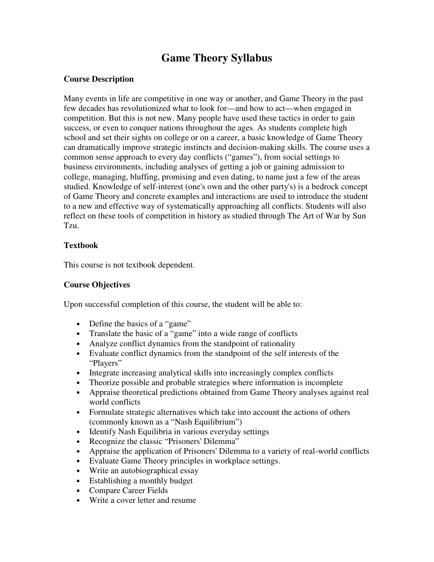# **Game Theory Syllabus**

### **Course Description**

Many events in life are competitive in one way or another, and Game Theory in the past few decades has revolutionized what to look for—and how to act—when engaged in competition. But this is not new. Many people have used these tactics in order to gain success, or even to conquer nations throughout the ages. As students complete high school and set their sights on college or on a career, a basic knowledge of Game Theory can dramatically improve strategic instincts and decision-making skills. The course uses a common sense approach to every day conflicts ("games"), from social settings to business environments, including analyses of getting a job or gaining admission to college, managing, bluffing, promising and even dating, to name just a few of the areas studied. Knowledge of self-interest (one's own and the other party's) is a bedrock concept of Game Theory and concrete examples and interactions are used to introduce the student to a new and effective way of systematically approaching all conflicts. Students will also reflect on these tools of competition in history as studied through The Art of War by Sun Tzu.

### **Textbook**

This course is not textbook dependent.

### **Course Objectives**

Upon successful completion of this course, the student will be able to:

- Define the basics of a "game"
- Translate the basic of a "game" into a wide range of conflicts
- Analyze conflict dynamics from the standpoint of rationality
- Evaluate conflict dynamics from the standpoint of the self interests of the "Players"
- Integrate increasing analytical skills into increasingly complex conflicts
- Theorize possible and probable strategies where information is incomplete
- Appraise theoretical predictions obtained from Game Theory analyses against real world conflicts
- Formulate strategic alternatives which take into account the actions of others (commonly known as a "Nash Equilibrium")
- Identify Nash Equilibria in various everyday settings
- Recognize the classic "Prisoners' Dilemma"
- Appraise the application of Prisoners' Dilemma to a variety of real-world conflicts
- Evaluate Game Theory principles in workplace settings.
- Write an autobiographical essay
- Establishing a monthly budget
- Compare Career Fields
- Write a cover letter and resume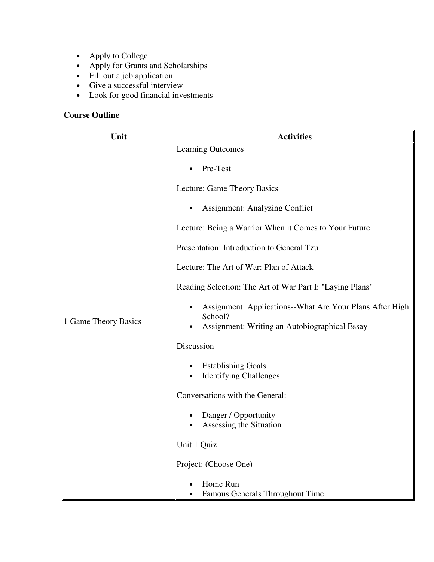- Apply to College
- Apply for Grants and Scholarships
- Fill out a job application
- Give a successful interview
- Look for good financial investments

# **Course Outline**

| Unit                 | <b>Activities</b>                                                                                                                 |
|----------------------|-----------------------------------------------------------------------------------------------------------------------------------|
| 1 Game Theory Basics | <b>Learning Outcomes</b>                                                                                                          |
|                      | Pre-Test                                                                                                                          |
|                      | Lecture: Game Theory Basics                                                                                                       |
|                      | <b>Assignment: Analyzing Conflict</b><br>$\bullet$                                                                                |
|                      | Lecture: Being a Warrior When it Comes to Your Future                                                                             |
|                      | Presentation: Introduction to General Tzu                                                                                         |
|                      | Lecture: The Art of War: Plan of Attack                                                                                           |
|                      | Reading Selection: The Art of War Part I: "Laying Plans"                                                                          |
|                      | Assignment: Applications--What Are Your Plans After High<br>$\bullet$<br>School?<br>Assignment: Writing an Autobiographical Essay |
|                      | Discussion                                                                                                                        |
|                      | <b>Establishing Goals</b><br><b>Identifying Challenges</b>                                                                        |
|                      | Conversations with the General:                                                                                                   |
|                      | Danger / Opportunity<br>Assessing the Situation                                                                                   |
|                      | Unit 1 Quiz                                                                                                                       |
|                      | Project: (Choose One)                                                                                                             |
|                      | Home Run                                                                                                                          |
|                      | Famous Generals Throughout Time<br>$\bullet$                                                                                      |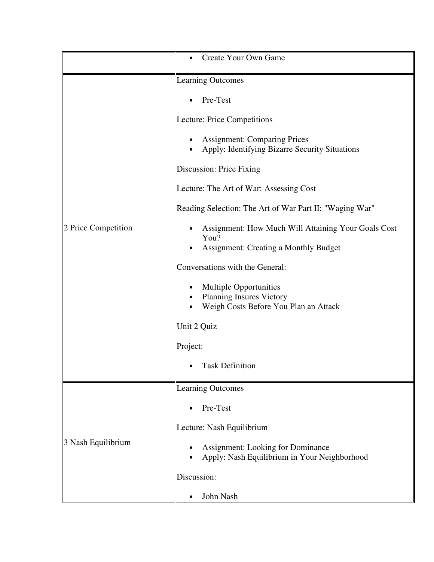|                     | Create Your Own Game                                                                                        |
|---------------------|-------------------------------------------------------------------------------------------------------------|
|                     | <b>Learning Outcomes</b>                                                                                    |
| 2 Price Competition | Pre-Test                                                                                                    |
|                     | Lecture: Price Competitions                                                                                 |
|                     | <b>Assignment: Comparing Prices</b><br>Apply: Identifying Bizarre Security Situations                       |
|                     | Discussion: Price Fixing                                                                                    |
|                     | Lecture: The Art of War: Assessing Cost                                                                     |
|                     | Reading Selection: The Art of War Part II: "Waging War"                                                     |
|                     | Assignment: How Much Will Attaining Your Goals Cost<br>You?<br><b>Assignment: Creating a Monthly Budget</b> |
|                     | Conversations with the General:                                                                             |
|                     | <b>Multiple Opportunities</b><br>Planning Insures Victory<br>Weigh Costs Before You Plan an Attack          |
|                     | Unit 2 Quiz                                                                                                 |
|                     | Project:                                                                                                    |
|                     | <b>Task Definition</b>                                                                                      |
| 3 Nash Equilibrium  | <b>Learning Outcomes</b>                                                                                    |
|                     | Pre-Test                                                                                                    |
|                     | Lecture: Nash Equilibrium                                                                                   |
|                     | <b>Assignment:</b> Looking for Dominance<br>Apply: Nash Equilibrium in Your Neighborhood                    |
|                     | Discussion:                                                                                                 |
|                     | John Nash<br>$\bullet$                                                                                      |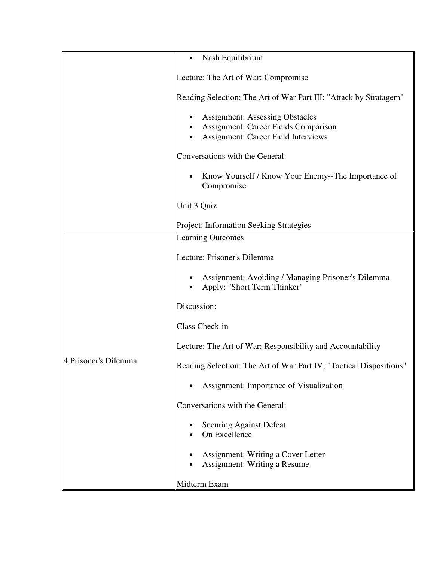|                      | Nash Equilibrium                                                                                                                    |
|----------------------|-------------------------------------------------------------------------------------------------------------------------------------|
|                      | Lecture: The Art of War: Compromise                                                                                                 |
|                      | Reading Selection: The Art of War Part III: "Attack by Stratagem"                                                                   |
|                      | <b>Assignment: Assessing Obstacles</b><br><b>Assignment: Career Fields Comparison</b><br><b>Assignment: Career Field Interviews</b> |
|                      | Conversations with the General:                                                                                                     |
|                      | Know Yourself / Know Your Enemy--The Importance of<br>Compromise                                                                    |
|                      | Unit 3 Quiz                                                                                                                         |
|                      | Project: Information Seeking Strategies                                                                                             |
|                      | <b>Learning Outcomes</b>                                                                                                            |
|                      | Lecture: Prisoner's Dilemma                                                                                                         |
| 4 Prisoner's Dilemma | Assignment: Avoiding / Managing Prisoner's Dilemma<br>Apply: "Short Term Thinker"                                                   |
|                      | Discussion:                                                                                                                         |
|                      | Class Check-in                                                                                                                      |
|                      | Lecture: The Art of War: Responsibility and Accountability                                                                          |
|                      | Reading Selection: The Art of War Part IV; "Tactical Dispositions"                                                                  |
|                      | Assignment: Importance of Visualization                                                                                             |
|                      | Conversations with the General:                                                                                                     |
|                      | <b>Securing Against Defeat</b><br>On Excellence                                                                                     |
|                      | Assignment: Writing a Cover Letter<br>Assignment: Writing a Resume                                                                  |
|                      | Midterm Exam                                                                                                                        |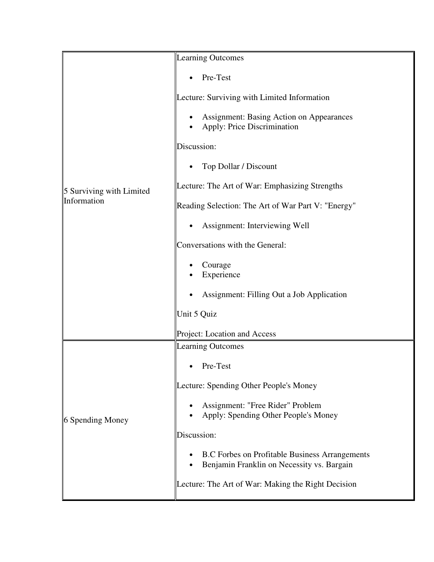| <b>Learning Outcomes</b><br>Pre-Test<br>$\bullet$                                                   |  |
|-----------------------------------------------------------------------------------------------------|--|
|                                                                                                     |  |
|                                                                                                     |  |
| Lecture: Surviving with Limited Information                                                         |  |
| Assignment: Basing Action on Appearances<br>Apply: Price Discrimination                             |  |
| Discussion:                                                                                         |  |
| Top Dollar / Discount                                                                               |  |
| Lecture: The Art of War: Emphasizing Strengths<br>5 Surviving with Limited                          |  |
| Information<br>Reading Selection: The Art of War Part V: "Energy"                                   |  |
| Assignment: Interviewing Well                                                                       |  |
| Conversations with the General:                                                                     |  |
| Courage<br>Experience                                                                               |  |
| Assignment: Filling Out a Job Application                                                           |  |
| Unit 5 Quiz                                                                                         |  |
| Project: Location and Access                                                                        |  |
| <b>Learning Outcomes</b>                                                                            |  |
| Pre-Test                                                                                            |  |
| Lecture: Spending Other People's Money                                                              |  |
| Assignment: "Free Rider" Problem<br>Apply: Spending Other People's Money<br>6 Spending Money        |  |
| Discussion:                                                                                         |  |
| <b>B.C</b> Forbes on Profitable Business Arrangements<br>Benjamin Franklin on Necessity vs. Bargain |  |
| Lecture: The Art of War: Making the Right Decision                                                  |  |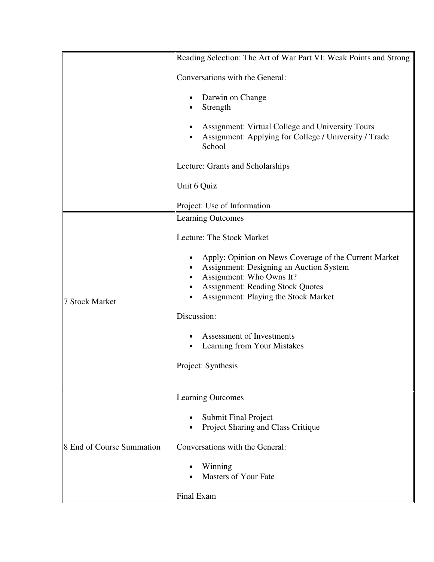|                           | Reading Selection: The Art of War Part VI: Weak Points and Strong                                                                                                                                                         |
|---------------------------|---------------------------------------------------------------------------------------------------------------------------------------------------------------------------------------------------------------------------|
|                           | Conversations with the General:                                                                                                                                                                                           |
|                           | Darwin on Change<br>٠<br>Strength                                                                                                                                                                                         |
|                           | Assignment: Virtual College and University Tours<br>٠<br>Assignment: Applying for College / University / Trade<br>School                                                                                                  |
|                           | Lecture: Grants and Scholarships                                                                                                                                                                                          |
|                           | Unit 6 Quiz                                                                                                                                                                                                               |
|                           | Project: Use of Information                                                                                                                                                                                               |
|                           | <b>Learning Outcomes</b>                                                                                                                                                                                                  |
| 7 Stock Market            | Lecture: The Stock Market                                                                                                                                                                                                 |
|                           | Apply: Opinion on News Coverage of the Current Market<br>٠<br>Assignment: Designing an Auction System<br>٠<br>Assignment: Who Owns It?<br><b>Assignment: Reading Stock Quotes</b><br>Assignment: Playing the Stock Market |
|                           | Discussion:                                                                                                                                                                                                               |
|                           | <b>Assessment of Investments</b><br>Learning from Your Mistakes                                                                                                                                                           |
|                           | Project: Synthesis                                                                                                                                                                                                        |
|                           | <b>Learning Outcomes</b>                                                                                                                                                                                                  |
| 8 End of Course Summation | <b>Submit Final Project</b><br>Project Sharing and Class Critique                                                                                                                                                         |
|                           | Conversations with the General:                                                                                                                                                                                           |
|                           | Winning<br><b>Masters of Your Fate</b>                                                                                                                                                                                    |
|                           | <b>Final Exam</b>                                                                                                                                                                                                         |